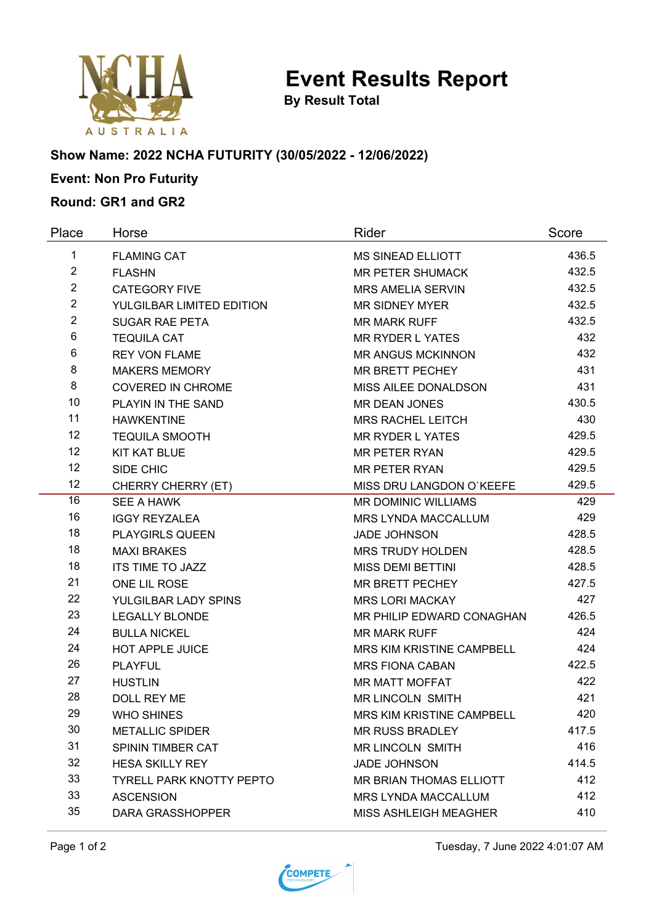

**By Result Total**

### **Show Name: 2022 NCHA FUTURITY (30/05/2022 - 12/06/2022)**

# **Event: Non Pro Futurity**

#### **Round: GR1 and GR2**

| Place          | Horse                           | Rider                        | Score |
|----------------|---------------------------------|------------------------------|-------|
| 1              | <b>FLAMING CAT</b>              | <b>MS SINEAD ELLIOTT</b>     | 436.5 |
| $\overline{2}$ | <b>FLASHN</b>                   | <b>MR PETER SHUMACK</b>      | 432.5 |
| $\overline{2}$ | <b>CATEGORY FIVE</b>            | <b>MRS AMELIA SERVIN</b>     | 432.5 |
| $\overline{2}$ | YULGILBAR LIMITED EDITION       | <b>MR SIDNEY MYER</b>        | 432.5 |
| $\overline{2}$ | <b>SUGAR RAE PETA</b>           | <b>MR MARK RUFF</b>          | 432.5 |
| 6              | <b>TEQUILA CAT</b>              | <b>MR RYDER L YATES</b>      | 432   |
| 6              | <b>REY VON FLAME</b>            | <b>MR ANGUS MCKINNON</b>     | 432   |
| 8              | <b>MAKERS MEMORY</b>            | <b>MR BRETT PECHEY</b>       | 431   |
| 8              | <b>COVERED IN CHROME</b>        | MISS AILEE DONALDSON         | 431   |
| 10             | PLAYIN IN THE SAND              | <b>MR DEAN JONES</b>         | 430.5 |
| 11             | <b>HAWKENTINE</b>               | <b>MRS RACHEL LEITCH</b>     | 430   |
| 12             | <b>TEQUILA SMOOTH</b>           | <b>MR RYDER L YATES</b>      | 429.5 |
| 12             | <b>KIT KAT BLUE</b>             | <b>MR PETER RYAN</b>         | 429.5 |
| 12             | SIDE CHIC                       | <b>MR PETER RYAN</b>         | 429.5 |
| 12             | CHERRY CHERRY (ET)              | MISS DRU LANGDON O'KEEFE     | 429.5 |
| 16             | SEE A HAWK                      | <b>MR DOMINIC WILLIAMS</b>   | 429   |
| 16             | <b>IGGY REYZALEA</b>            | <b>MRS LYNDA MACCALLUM</b>   | 429   |
| 18             | <b>PLAYGIRLS QUEEN</b>          | <b>JADE JOHNSON</b>          | 428.5 |
| 18             | <b>MAXI BRAKES</b>              | <b>MRS TRUDY HOLDEN</b>      | 428.5 |
| 18             | <b>ITS TIME TO JAZZ</b>         | <b>MISS DEMI BETTINI</b>     | 428.5 |
| 21             | ONE LIL ROSE                    | <b>MR BRETT PECHEY</b>       | 427.5 |
| 22             | YULGILBAR LADY SPINS            | <b>MRS LORI MACKAY</b>       | 427   |
| 23             | <b>LEGALLY BLONDE</b>           | MR PHILIP EDWARD CONAGHAN    | 426.5 |
| 24             | <b>BULLA NICKEL</b>             | <b>MR MARK RUFF</b>          | 424   |
| 24             | <b>HOT APPLE JUICE</b>          | MRS KIM KRISTINE CAMPBELL    | 424   |
| 26             | <b>PLAYFUL</b>                  | <b>MRS FIONA CABAN</b>       | 422.5 |
| 27             | <b>HUSTLIN</b>                  | <b>MR MATT MOFFAT</b>        | 422   |
| 28             | <b>DOLL REY ME</b>              | <b>MR LINCOLN SMITH</b>      | 421   |
| 29             | <b>WHO SHINES</b>               | MRS KIM KRISTINE CAMPBELL    | 420   |
| 30             | <b>METALLIC SPIDER</b>          | <b>MR RUSS BRADLEY</b>       | 417.5 |
| 31             | SPININ TIMBER CAT               | MR LINCOLN SMITH             | 416   |
| 32             | <b>HESA SKILLY REY</b>          | <b>JADE JOHNSON</b>          | 414.5 |
| 33             | <b>TYRELL PARK KNOTTY PEPTO</b> | MR BRIAN THOMAS ELLIOTT      | 412   |
| 33             | <b>ASCENSION</b>                | <b>MRS LYNDA MACCALLUM</b>   | 412   |
| 35             | <b>DARA GRASSHOPPER</b>         | <b>MISS ASHLEIGH MEAGHER</b> | 410   |